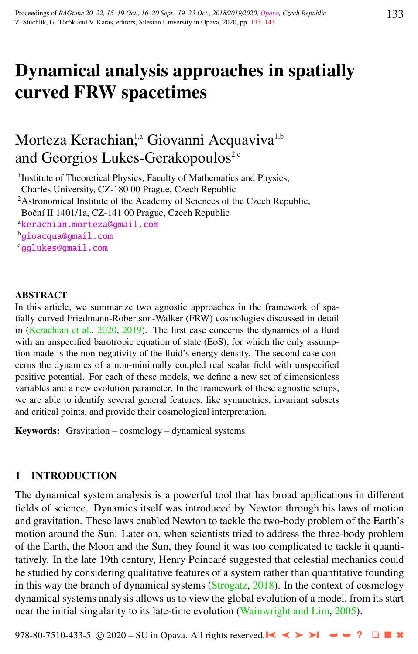# Dynamical analysis approaches in spatially curved FRW spacetimes

# Morteza Kerachian<sup>1,a</sup> Giovanni Acquaviva<sup>1,b</sup> and Georgios Lukes-Gerakopoulos<sup>2,c</sup>

<sup>1</sup> Institute of Theoretical Physics, Faculty of Mathematics and Physics,

Charles University, CZ-180 00 Prague, Czech Republic

<sup>2</sup>Astronomical Institute of the Academy of Sciences of the Czech Republic,

Boční II 1401/1a, CZ-141 00 Prague, Czech Republic

<sup>a</sup>[kerachian.morteza@gmail.com](http://www.physics.cz/ kerachian.morteza@gmail.com)

<sup>b</sup>[gioacqua@gmail.com](http://www.physics.cz/ gioacqua@gmail.com)

<sup>c</sup>[gglukes@gmail.com](http://www.physics.cz/ gglukes@gmail.com)

#### ABSTRACT

In this article, we summarize two agnostic approaches in the framework of spatially curved Friedmann-Robertson-Walker (FRW) cosmologies discussed in detail in [\(Kerachian et al.,](#page-9-0) [2020,](#page-9-0) [2019\)](#page-9-0). The first case concerns the dynamics of a fluid with an unspecified barotropic equation of state (EoS), for which the only assumption made is the non-negativity of the fluid's energy density. The second case concerns the dynamics of a non-minimally coupled real scalar field with unspecified positive potential. For each of these models, we define a new set of dimensionless variables and a new evolution parameter. In the framework of these agnostic setups, we are able to identify several general features, like symmetries, invariant subsets and critical points, and provide their cosmological interpretation.

Keywords: Gravitation – cosmology – dynamical systems

# 1 INTRODUCTION

The dynamical system analysis is a powerful tool that has broad applications in different fields of science. Dynamics itself was introduced by Newton through his laws of motion and gravitation. These laws enabled Newton to tackle the two-body problem of the Earth's motion around the Sun. Later on, when scientists tried to address the three-body problem of the Earth, the Moon and the Sun, they found it was too complicated to tackle it quantitatively. In the late 19th century, Henry Poincaré suggested that celestial mechanics could be studied by considering qualitative features of a system rather than quantitative founding in this way the branch of dynamical systems  $(Strogatz, 2018)$  $(Strogatz, 2018)$  $(Strogatz, 2018)$ . In the context of cosmology dynamical systems analysis allows us to view the global evolution of a model, from its start near the initial singularity to its late-time evolution [\(Wainwright and Lim,](#page-10-0) [2005\)](#page-10-0).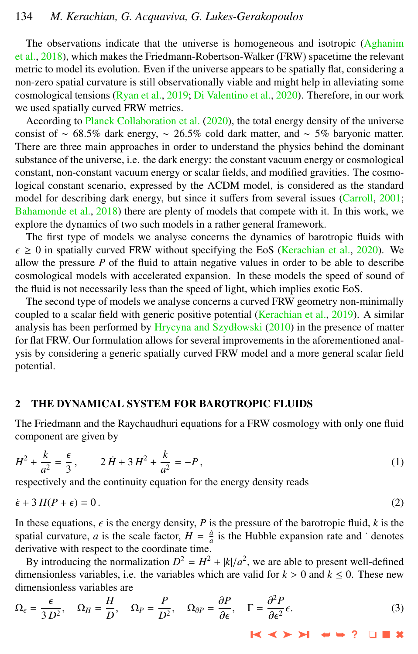# <span id="page-1-0"></span>134 *M. Kerachian, G. Acquaviva, G. Lukes-Gerakopoulos*

The observations indicate that the universe is homogeneous and isotropic [\(Aghanim](#page-9-0) [et al.,](#page-9-0) [2018\)](#page-9-0), which makes the Friedmann-Robertson-Walker (FRW) spacetime the relevant metric to model its evolution. Even if the universe appears to be spatially flat, considering a non-zero spatial curvature is still observationally viable and might help in alleviating some cosmological tensions [\(Ryan et al.,](#page-10-0) [2019;](#page-10-0) [Di Valentino et al.,](#page-9-0) [2020\)](#page-9-0). Therefore, in our work we used spatially curved FRW metrics.

According to [Planck Collaboration et al.](#page-9-0) [\(2020\)](#page-9-0), the total energy density of the universe consist of ~ 68.5% dark energy, ~ 26.5% cold dark matter, and ~ 5% baryonic matter. There are three main approaches in order to understand the physics behind the dominant substance of the universe, i.e. the dark energy: the constant vacuum energy or cosmological constant, non-constant vacuum energy or scalar fields, and modified gravities. The cosmological constant scenario, expressed by the ΛCDM model, is considered as the standard model for describing dark energy, but since it suffers from several issues [\(Carroll,](#page-9-0) [2001;](#page-9-0) [Bahamonde et al.,](#page-9-0) [2018\)](#page-9-0) there are plenty of models that compete with it. In this work, we explore the dynamics of two such models in a rather general framework.

The first type of models we analyse concerns the dynamics of barotropic fluids with  $\epsilon \ge 0$  in spatially curved FRW without specifying the EoS [\(Kerachian et al.,](#page-9-0) [2020\)](#page-9-0). We allow the pressure  $P$  of the fluid to attain negative values in order to be able to describe cosmological models with accelerated expansion. In these models the speed of sound of the fluid is not necessarily less than the speed of light, which implies exotic EoS.

The second type of models we analyse concerns a curved FRW geometry non-minimally coupled to a scalar field with generic positive potential [\(Kerachian et al.,](#page-9-0) [2019\)](#page-9-0). A similar analysis has been performed by [Hrycyna and Szydłowski](#page-9-0) [\(2010\)](#page-9-0) in the presence of matter for flat FRW. Our formulation allows for several improvements in the aforementioned analysis by considering a generic spatially curved FRW model and a more general scalar field potential.

#### 2 THE DYNAMICAL SYSTEM FOR BAROTROPIC FLUIDS

The Friedmann and the Raychaudhuri equations for a FRW cosmology with only one fluid component are given by

$$
H^2 + \frac{k}{a^2} = \frac{\epsilon}{3}, \qquad 2\dot{H} + 3H^2 + \frac{k}{a^2} = -P,\tag{1}
$$

respectively and the continuity equation for the energy density reads

$$
\dot{\epsilon} + 3H(P + \epsilon) = 0. \tag{2}
$$

In these equations,  $\epsilon$  is the energy density, *P* is the pressure of the barotropic fluid, *k* is the spatial curvature, *a* is the scale factor,  $H = \frac{a}{a}$  is the Hubble expansion rate and  $\dot{\ }$  denotes derivative with respect to the coordinate time.

By introducing the normalization  $D^2 = H^2 + |k|/a^2$ , we are able to present well-defined<br>mensionless variables i.e. the variables which are valid for  $k > 0$  and  $k < 0$ . These new dimensionless variables, i.e. the variables which are valid for  $k > 0$  and  $k \le 0$ . These new dimensionless variables are

$$
\Omega_{\epsilon} = \frac{\epsilon}{3 D^2}, \quad \Omega_H = \frac{H}{D}, \quad \Omega_P = \frac{P}{D^2}, \quad \Omega_{\partial P} = \frac{\partial P}{\partial \epsilon}, \quad \Gamma = \frac{\partial^2 P}{\partial \epsilon^2} \epsilon. \tag{3}
$$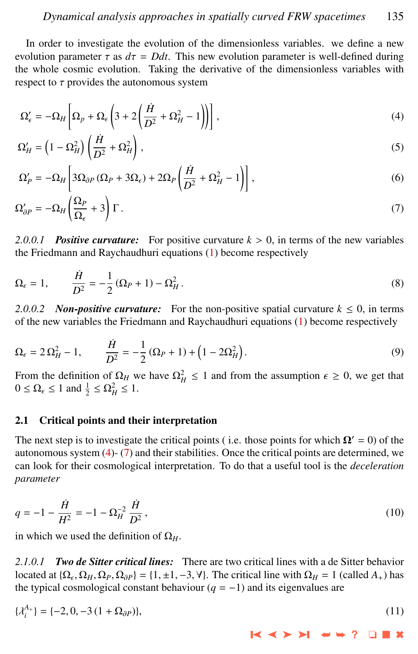<span id="page-2-0"></span>In order to investigate the evolution of the dimensionless variables. we define a new evolution parameter  $\tau$  as  $d\tau = Ddt$ . This new evolution parameter is well-defined during the whole cosmic evolution. Taking the derivative of the dimensionless variables with respect to  $\tau$  provides the autonomous system

$$
\Omega'_{\epsilon} = -\Omega_H \left[ \Omega_p + \Omega_{\epsilon} \left( 3 + 2 \left( \frac{\dot{H}}{D^2} + \Omega_H^2 - 1 \right) \right) \right],
$$
\n(4)

$$
\Omega_H' = \left(1 - \Omega_H^2\right) \left(\frac{\dot{H}}{D^2} + \Omega_H^2\right),\tag{5}
$$

$$
\Omega_P' = -\Omega_H \left[ 3\Omega_{\partial P} \left( \Omega_P + 3\Omega_{\epsilon} \right) + 2\Omega_P \left( \frac{\dot{H}}{D^2} + \Omega_H^2 - 1 \right) \right],\tag{6}
$$

$$
\Omega'_{\partial P} = -\Omega_H \left(\frac{\Omega_P}{\Omega_\epsilon} + 3\right) \Gamma \,. \tag{7}
$$

*2.0.0.1 Positive curvature:* For positive curvature *<sup>k</sup>* > 0, in terms of the new variables the Friedmann and Raychaudhuri equations [\(1\)](#page-1-0) become respectively

$$
\Omega_{\epsilon} = 1, \qquad \frac{\dot{H}}{D^2} = -\frac{1}{2} \left( \Omega_P + 1 \right) - \Omega_H^2. \tag{8}
$$

*2.0.0.2 Non-positive curvature:* For the non-positive spatial curvature  $k \le 0$ , in terms of the new variables the Friedmann and Raychaudhuri equations [\(1\)](#page-1-0) become respectively

$$
\Omega_{\epsilon} = 2\,\Omega_H^2 - 1, \qquad \frac{\dot{H}}{D^2} = -\frac{1}{2}\left(\Omega_P + 1\right) + \left(1 - 2\Omega_H^2\right). \tag{9}
$$

From the definition of  $\Omega_H$  we have  $\Omega_H^2 \le 1$  and from the assumption  $\epsilon \ge 0$ , we get that  $0 < \Omega < 1$  and  $\frac{1}{2} < \Omega^2 < 1$  $0 \leq \Omega_{\epsilon} \leq 1$  and  $\frac{1}{2} \leq \Omega_H^2 \leq 1$ .

#### 2.1 Critical points and their interpretation

The next step is to investigate the critical points (i.e. those points for which  $\Omega' = 0$ ) of the autonomous system (4)- (7) and their stabilities. Once the critical points are determined, we can look for their cosmological interpretation. To do that a useful tool is the *deceleration parameter*

$$
q = -1 - \frac{\dot{H}}{H^2} = -1 - \Omega_H^{-2} \frac{\dot{H}}{D^2},
$$
\n(10)

in which we used the definition of  $\Omega_H$ .

*2.1.0.1 Two de Sitter critical lines:* There are two critical lines with a de Sitter behavior located at  $\{\Omega_{\epsilon}, \Omega_{H}, \Omega_{P}, \Omega_{\partial P}\} = \{1, \pm 1, -3, \forall\}$ . The critical line with  $\Omega_{H} = 1$  (called  $A_{+}$ ) has the typical complexies complexies are the typical cosmological constant behaviour  $(q = -1)$  and its eigenvalues are

$$
\{\lambda_i^{A_+}\} = \{-2, 0, -3(1+\Omega_{\partial P})\},\tag{11}
$$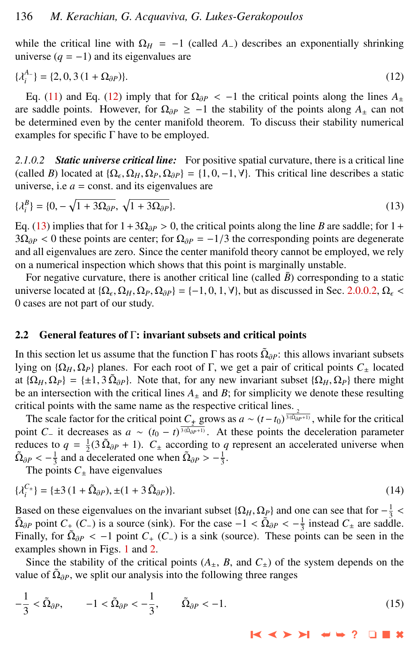while the critical line with  $\Omega_H = -1$  (called *A*<sub>−</sub>) describes an exponentially shrinking universe  $(q = -1)$  and its eigenvalues are

$$
\{\lambda_i^A\} = \{2, 0, 3(1 + \Omega_{\partial P})\}.
$$
 (12)

Eq. [\(11\)](#page-2-0) and Eq. (12) imply that for  $\Omega_{\partial P}$  < −1 the critical points along the lines  $A_+$ are saddle points. However, for  $\Omega_{\partial P} \ge -1$  the stability of the points along  $A_{+}$  can not be determined even by the center manifold theorem. To discuss their stability numerical examples for specific  $\Gamma$  have to be employed.

*2.1.0.2 Static universe critical line:* For positive spatial curvature, there is a critical line (called *B*) located at  $\{\Omega_{\epsilon}, \Omega_{H}, \Omega_{P}, \Omega_{\partial P}\} = \{1, 0, -1, \forall\}$ . This critical line describes a static universe i.e. *a* = const. and its eigenvalues are universe, i.e  $a =$  const. and its eigenvalues are

$$
\{\lambda_i^B\} = \{0, -\sqrt{1 + 3\Omega_{\partial P}}, \sqrt{1 + 3\Omega_{\partial P}}\}.
$$
\n
$$
(13)
$$

Eq. (13) implies that for  $1+3\Omega_{\partial P} > 0$ , the critical points along the line *B* are saddle; for 1+  $3\Omega_{\partial P}$  < 0 these points are center; for  $\Omega_{\partial P} = -1/3$  the corresponding points are degenerate and all eigenvalues are zero. Since the center manifold theory cannot be employed, we rely on a numerical inspection which shows that this point is marginally unstable.

For negative curvature, there is another critical line (called  $\bar{B}$ ) corresponding to a static universe located at  $\{\Omega_{\epsilon}, \Omega_{H}, \Omega_{P}, \Omega_{\partial P}\} = \{-1, 0, 1, \forall\}$ , but as discussed in Sec. [2.0.0.2,](#page-2-0)  $\Omega_{\epsilon} <$  0 cases are not part of our study 0 cases are not part of our study.

#### 2.2 General features of Γ: invariant subsets and critical points

In this section let us assume that the function  $\Gamma$  has roots  $\tilde{\Omega}_{\partial P}$ : this allows invariant subsets liking on  $\Omega$ ,  $\Omega$ , lightness. For seek neet of  $\Gamma$  we get a neithed points  $C$ , loosted lying on  $\{\Omega_H, \Omega_P\}$  planes. For each root of Γ, we get a pair of critical points  $C_+$  located at  $\{\Omega_H, \Omega_P\} = \{\pm 1, 3, \tilde{\Omega}_{\partial P}\}.$  Note that, for any new invariant subset  $\{\Omega_H, \Omega_P\}$  there might be an intersection with the critical lines  $A$  and  $R$ ; for simplicity we denote these resulting be an intersection with the critical lines  $A_{\pm}$  and  $B$ ; for simplicity we denote these resulting critical points with the same name as the respective critical lines.

The scale factor for the critical point  $C_+$  grows as  $a \sim (t - t_0)^{\frac{1}{3(\Omega_{\partial P}+1)}}$ , while for the critical point *C*<sub>−</sub> it decreases as  $a \sim (t_0 - t)^{\frac{3}{3}(\bar{\Omega}_{\partial P}+1)}$ . At these points the deceleration parameter reduces to  $q = \frac{1}{2}(3 \tilde{\Omega}_{\partial P} + 1)$ .  $C_{\pm}$  according to *q* represent an accelerated universe when  $\tilde{\Omega}_{\partial P} < -\frac{1}{3}$  and a decelerated one when  $\tilde{\Omega}_{\partial P} > -\frac{1}{3}$ .<br>The points C, have eigenvalues

The points  $C_+$  have eigenvalues

$$
\{\lambda_i^{C_{\pm}}\} = \{\pm 3\,(1 + \tilde{\Omega}_{\partial P}), \pm (1 + 3\,\tilde{\Omega}_{\partial P})\}.
$$
 (14)

Based on these eigenvalues on the invariant subset  $\{\Omega_H, \Omega_P\}$  and one can see that for  $-\frac{1}{3}$ <br> $\tilde{\Omega}_{2R}$  point  $C_{1}(C_1)$  is a source (sink). For the case  $-1 < \tilde{\Omega}_{2R} < -1$  instead  $C_1$  are sadd  $\tilde{\Omega}_{\partial P}$  point  $C_+$  (*C*−) is a source (sink). For the case  $-1 < \tilde{\Omega}_{\partial P} < -\frac{1}{3}$  instead  $C_{\pm}$  are saddle.<br>Finally for  $\tilde{O}_{\text{SD}} < -1$  point  $C_+$  ( $C_+$ ) is a sink (source). These points can be seen in the Finally, for  $\tilde{\Omega}_{\partial P} < -1$  point  $C_+$  ( $C_-$ ) is a sink (source). These points can be seen in the examples shown in Figs. 1 and 2 examples shown in Figs. [1](#page-4-0) and [2.](#page-5-0)

Since the stability of the critical points  $(A_{\pm}, B, \text{ and } C_{\pm})$  of the system depends on the value of  $\tilde{\Omega}_{\partial P}$ , we split our analysis into the following three ranges

$$
-\frac{1}{3} < \tilde{\Omega}_{\partial P}, \qquad -1 < \tilde{\Omega}_{\partial P} < -\frac{1}{3}, \qquad \tilde{\Omega}_{\partial P} < -1. \tag{15}
$$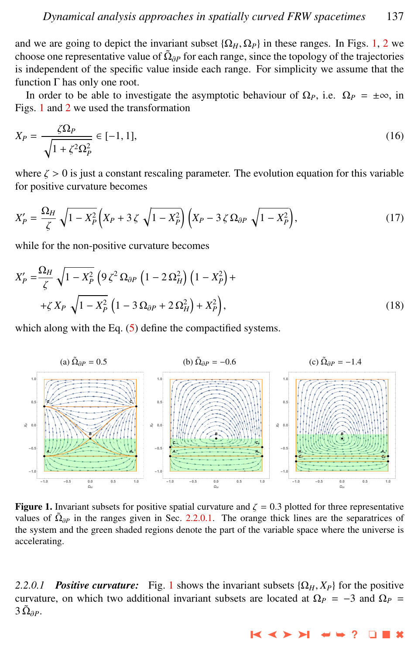<span id="page-4-0"></span>and we are going to depict the invariant subset  $\{\Omega_H, \Omega_P\}$  in these ranges. In Figs. 1, [2](#page-5-0) we choose one representative value of  $\tilde{\Omega}_{\partial P}$  for each range, since the topology of the trajectories is independent of the enocifie value incide each range. For simplicity we assume that the is independent of the specific value inside each range. For simplicity we assume that the function Γ has only one root.

In order to be able to investigate the asymptotic behaviour of  $\Omega_P$ , i.e.  $\Omega_P = \pm \infty$ , in Figs. 1 and [2](#page-5-0) we used the transformation

$$
X_P = \frac{\zeta \Omega_P}{\sqrt{1 + \zeta^2 \Omega_P^2}} \in [-1, 1],\tag{16}
$$

where  $\zeta > 0$  is just a constant rescaling parameter. The evolution equation for this variable for positive curvature becomes

$$
X_P' = \frac{\Omega_H}{\zeta} \sqrt{1 - X_P^2} \left( X_P + 3 \zeta \sqrt{1 - X_P^2} \right) \left( X_P - 3 \zeta \Omega_{\partial P} \sqrt{1 - X_P^2} \right),\tag{17}
$$

while for the non-positive curvature becomes

$$
X'_{P} = \frac{\Omega_{H}}{\zeta} \sqrt{1 - X_{P}^{2}} \left( 9 \zeta^{2} \Omega_{\partial P} \left( 1 - 2 \Omega_{H}^{2} \right) \left( 1 - X_{P}^{2} \right) + 4 \zeta X_{P} \sqrt{1 - X_{P}^{2}} \left( 1 - 3 \Omega_{\partial P} + 2 \Omega_{H}^{2} \right) + X_{P}^{2} \right),
$$
\n(18)

which along with the Eq.  $(5)$  define the compactified systems.



**Figure 1.** Invariant subsets for positive spatial curvature and  $\zeta = 0.3$  plotted for three representative values of  $\tilde{\Omega}_{\partial P}$  in the ranges given in Sec. 2.2.0.1. The orange thick lines are the separatrices of the system and the green shaded regions denote the part of the variable space where the universe is accelerating.

2.2.0.1 *Positive curvature:* Fig. 1 shows the invariant subsets  $\{\Omega_H, X_P\}$  for the positive curvature, on which two additional invariant subsets are located at  $\Omega_P = -3$  and  $\Omega_P =$  $3\,\tilde{\Omega}_{\partial P}$ .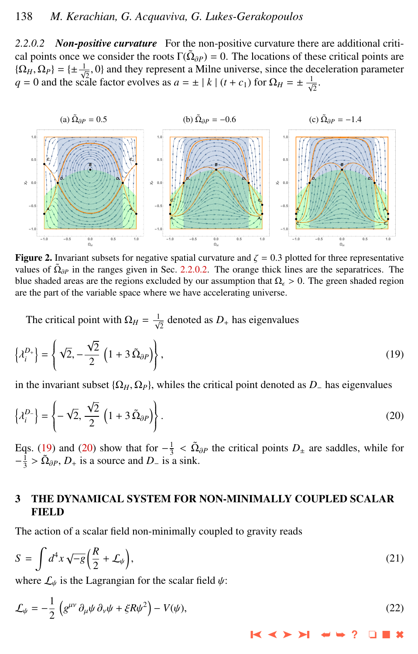<span id="page-5-0"></span>*2.2.0.2 Non-positive curvature* For the non-positive curvature there are additional critical points once we consider the roots  $\Gamma(\tilde{\Omega}_{\partial P}) = 0$ . The locations of these critical points are<br><sup>1</sup>( $\Omega$ ,  $\Omega$ ) = <sup>1</sup>, <sup>1</sup>, 0) and they represent a Milne universe, since the deceleration permeter  $\{\Omega_H, \Omega_P\} = \{\pm \frac{1}{\sqrt{2}}, 0\}$  and they represent a Milne universe, since the deceleration parameter  $q = 0$  and the scale factor evolves as  $a = \pm |k| (t + c_1)$  for  $\Omega_H = \pm \frac{1}{\sqrt{2}}$ .



**Figure 2.** Invariant subsets for negative spatial curvature and  $\zeta = 0.3$  plotted for three representative values of  $\tilde{\Omega}_{\partial P}$  in the ranges given in Sec. 2.2.0.2. The orange thick lines are the separatrices. The blue shaded areas are the regions excluded by our assumption that  $\Omega_{\epsilon} > 0$ . The green shaded region are the part of the variable space where we have accelerating universe.

The critical point with  $\Omega_H = \frac{1}{\sqrt{2}}$  denoted as  $D_+$  has eigenvalues

$$
\left\{\lambda_i^{D_+}\right\} = \left\{\sqrt{2}, -\frac{\sqrt{2}}{2}\left(1 + 3\,\tilde{\Omega}_{\partial P}\right)\right\},\tag{19}
$$

in the invariant subset  $\{\Omega_H, \Omega_P\}$ , whiles the critical point denoted as  $D_-\$  has eigenvalues

$$
\left\{\lambda_i^D\right\} = \left\{-\sqrt{2}, \frac{\sqrt{2}}{2} \left(1 + 3 \,\tilde{\Omega}_{\partial P}\right)\right\}.
$$
\n(20)

Eqs. (19) and (20) show that for  $-\frac{1}{3} < \tilde{\Omega}_{\partial P}$  the critical points  $D_{\pm}$  are saddles, while for  $-\frac{1}{3} < \tilde{\Omega}_{\partial P}$  is a source and  $D_{\pm}$  is a sink  $-\frac{1}{3} > \tilde{\Omega}_{\partial P}, D_{+}$  is a source and *D*<sub>−</sub> is a sink.

# 3 THE DYNAMICAL SYSTEM FOR NON-MINIMALLY COUPLED SCALAR **FIELD**

The action of a scalar field non-minimally coupled to gravity reads

$$
S = \int d^4x \sqrt{-g} \left(\frac{R}{2} + \mathcal{L}_{\psi}\right),\tag{21}
$$

where  $\mathcal{L}_{\psi}$  is the Lagrangian for the scalar field  $\psi$ :

$$
\mathcal{L}_{\psi} = -\frac{1}{2} \left( g^{\mu \nu} \partial_{\mu} \psi \partial_{\nu} \psi + \xi R \psi^2 \right) - V(\psi), \tag{22}
$$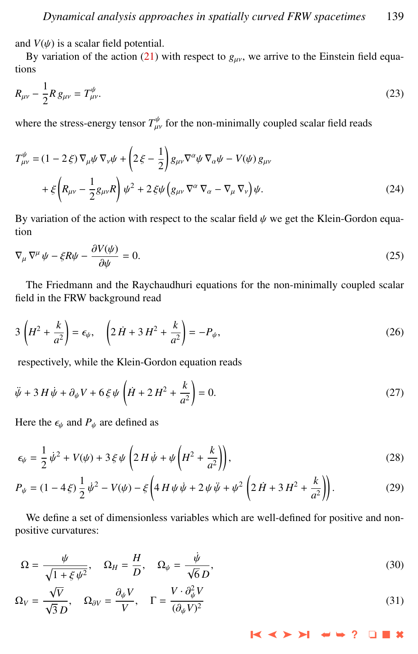and  $V(\psi)$  is a scalar field potential.

By variation of the action [\(21\)](#page-5-0) with respect to  $g_{\mu\nu}$ , we arrive to the Einstein field equations

$$
R_{\mu\nu} - \frac{1}{2} R g_{\mu\nu} = T^{\psi}_{\mu\nu}.
$$
 (23)

where the stress-energy tensor  $T^{\psi}_{\mu\nu}$  for the non-minimally coupled scalar field reads

$$
T^{\psi}_{\mu\nu} = (1 - 2\xi)\nabla_{\mu}\psi\nabla_{\nu}\psi + \left(2\xi - \frac{1}{2}\right)g_{\mu\nu}\nabla^{\alpha}\psi\nabla_{\alpha}\psi - V(\psi)g_{\mu\nu} + \xi\left(R_{\mu\nu} - \frac{1}{2}g_{\mu\nu}R\right)\psi^2 + 2\xi\psi\left(g_{\mu\nu}\nabla^{\alpha}\nabla_{\alpha} - \nabla_{\mu}\nabla_{\nu}\right)\psi.
$$
 (24)

By variation of the action with respect to the scalar field  $\psi$  we get the Klein-Gordon equation

$$
\nabla_{\mu} \nabla^{\mu} \psi - \xi R \psi - \frac{\partial V(\psi)}{\partial \psi} = 0.
$$
 (25)

The Friedmann and the Raychaudhuri equations for the non-minimally coupled scalar field in the FRW background read

$$
3\left(H^2 + \frac{k}{a^2}\right) = \epsilon_{\psi}, \quad \left(2\dot{H} + 3\dot{H}^2 + \frac{k}{a^2}\right) = -P_{\psi},\tag{26}
$$

respectively, while the Klein-Gordon equation reads

$$
\ddot{\psi} + 3H\dot{\psi} + \partial_{\psi}V + 6\xi\psi\left(\dot{H} + 2H^2 + \frac{k}{a^2}\right) = 0.
$$
\n(27)

Here the  $\epsilon_{\psi}$  and  $P_{\psi}$  are defined as

$$
\epsilon_{\psi} = \frac{1}{2} \dot{\psi}^2 + V(\psi) + 3 \xi \psi \left( 2H \dot{\psi} + \psi \left( H^2 + \frac{k}{a^2} \right) \right),
$$
 (28)

$$
P_{\psi} = (1 - 4\xi) \frac{1}{2} \dot{\psi}^2 - V(\psi) - \xi \left( 4H\psi \dot{\psi} + 2\psi \ddot{\psi} + \psi^2 \left( 2\dot{H} + 3H^2 + \frac{k}{a^2} \right) \right).
$$
 (29)

We define a set of dimensionless variables which are well-defined for positive and nonpositive curvatures:

$$
\Omega = \frac{\psi}{\sqrt{1 + \xi \psi^2}}, \quad \Omega_H = \frac{H}{D}, \quad \Omega_\psi = \frac{\dot{\psi}}{\sqrt{6} D}, \tag{30}
$$

$$
\Omega_V = \frac{\sqrt{V}}{\sqrt{3} D}, \quad \Omega_{\partial V} = \frac{\partial_\psi V}{V}, \quad \Gamma = \frac{V \cdot \partial_\psi^2 V}{(\partial_\psi V)^2}
$$
(31)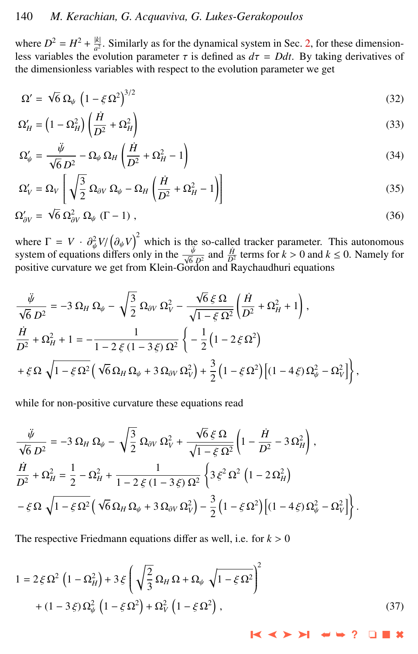<span id="page-7-0"></span>where  $D^2 = H^2 + \frac{|k|}{a^2}$  $\frac{1}{a^2}$ . Similarly as for the dynamical system in Sec. [2,](#page-1-0) for these dimensionless variables the evolution parameter  $\tau$  is defined as  $d\tau = Ddt$ . By taking derivatives of the dimensionless variables with respect to the evolution parameter we get

$$
\Omega' = \sqrt{6} \, \Omega_{\psi} \, \left( 1 - \xi \, \Omega^2 \right)^{3/2} \tag{32}
$$

$$
\Omega_H' = \left(1 - \Omega_H^2\right) \left(\frac{\dot{H}}{D^2} + \Omega_H^2\right) \tag{33}
$$

$$
\Omega'_{\psi} = \frac{\ddot{\psi}}{\sqrt{6} D^2} - \Omega_{\psi} \Omega_H \left( \frac{\dot{H}}{D^2} + \Omega_H^2 - 1 \right)
$$
\n(34)

$$
\Omega_V' = \Omega_V \left[ \sqrt{\frac{3}{2}} \, \Omega_{\partial V} \, \Omega_\psi - \Omega_H \left( \frac{\dot{H}}{D^2} + \Omega_H^2 - 1 \right) \right] \tag{35}
$$

$$
\Omega'_{\partial V} = \sqrt{6} \, \Omega_{\partial V}^2 \, \Omega_{\psi} \, (\Gamma - 1) \;, \tag{36}
$$

where  $\Gamma = V \cdot \partial^2_{\psi} V / (\partial_{\psi} V)^2$  which is the so-called tracker parameter. This autonomous system of equations differs only in the  $\frac{\ddot{\psi}}{\sqrt{2}}$  and  $\frac{\dot{H}}{\sqrt{2}}$  terms for  $k > 0$  and  $k < 0$ . Namely for system of equations differs only in the  $\frac{\ddot{\psi}}{\sqrt{6} p^2}$  and  $\frac{\dot{H}}{D^2}$  terms for  $k > 0$  and  $k \le 0$ . Namely for positive curvature we get from Klein-Gordon and Raychaudhuri equations

$$
\begin{split} &\frac{\ddot{\psi}}{\sqrt{6}\,D^2} = -3\,\Omega_H\,\Omega_\psi - \sqrt{\frac{3}{2}}\,\Omega_{\partial V}\,\Omega_V^2 - \frac{\sqrt{6}\,\xi\,\Omega}{\sqrt{1-\xi\,\Omega^2}}\bigg(\frac{\dot{H}}{D^2}+\Omega_H^2+1\bigg)\,,\\ &\frac{\dot{H}}{D^2}+\Omega_H^2+1 = -\frac{1}{1-2\,\xi\,(1-3\,\xi)\,\Omega^2}\,\bigg\{-\frac{1}{2}\left(1-2\,\xi\,\Omega^2\right)\\ &+\xi\,\Omega\,\sqrt{1-\xi\,\Omega^2}\left(\sqrt{6}\,\Omega_H\,\Omega_\psi+3\,\Omega_{\partial V}\,\Omega_V^2\right) +\frac{3}{2}\left(1-\xi\,\Omega^2\right)\bigg[(1-4\,\xi)\,\Omega_\psi^2-\Omega_V^2\bigg]\bigg\}\,, \end{split}
$$

while for non-positive curvature these equations read

$$
\begin{split} &\frac{\ddot{\psi}}{\sqrt{6}\,D^2} = -3\,\Omega_H\,\Omega_\psi - \sqrt{\frac{3}{2}}\,\Omega_{\partial V}\,\Omega_V^2 + \frac{\sqrt{6}\,\xi\,\Omega}{\sqrt{1-\xi\,\Omega^2}}\left(1-\frac{\dot{H}}{D^2}-3\,\Omega_H^2\right),\\ &\frac{\dot{H}}{D^2} + \Omega_H^2 = \frac{1}{2} - \Omega_H^2 + \frac{1}{1-2\,\xi\,(1-3\,\xi)\,\Omega^2}\,\left\{3\,\xi^2\,\Omega^2\,\left(1-2\,\Omega_H^2\right) \right.\\ &\left. - \xi\,\Omega\,\sqrt{1-\xi\,\Omega^2}\left(\sqrt{6}\,\Omega_H\,\Omega_\psi + 3\,\Omega_{\partial V}\,\Omega_V^2\right) - \frac{3}{2}\left(1-\xi\,\Omega^2\right)\left[(1-4\,\xi)\,\Omega_\psi^2 - \Omega_V^2\right] \right\}. \end{split}
$$

The respective Friedmann equations differ as well, i.e. for  $k > 0$ 

$$
1 = 2\xi\Omega^{2}\left(1 - \Omega_{H}^{2}\right) + 3\xi\left(\sqrt{\frac{2}{3}}\Omega_{H}\Omega + \Omega_{\psi}\sqrt{1 - \xi\Omega^{2}}\right)^{2} + (1 - 3\xi)\Omega_{\psi}^{2}\left(1 - \xi\Omega^{2}\right) + \Omega_{V}^{2}\left(1 - \xi\Omega^{2}\right),
$$
\n(37)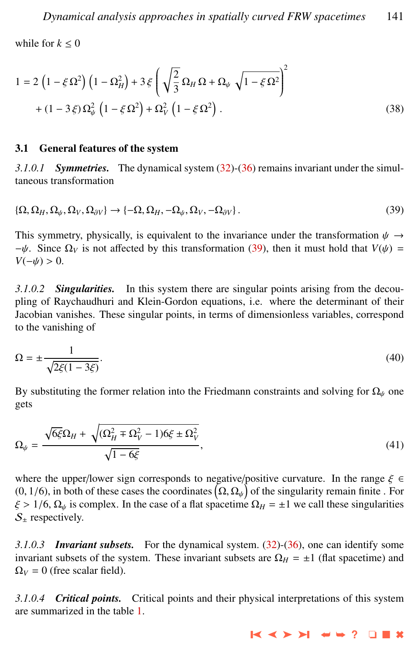while for  $k \leq 0$ 

$$
1 = 2 \left( 1 - \xi \Omega^2 \right) \left( 1 - \Omega_H^2 \right) + 3 \xi \left( \sqrt{\frac{2}{3}} \Omega_H \Omega + \Omega_\psi \sqrt{1 - \xi \Omega^2} \right)^2 + (1 - 3 \xi) \Omega_\psi^2 \left( 1 - \xi \Omega^2 \right) + \Omega_V^2 \left( 1 - \xi \Omega^2 \right).
$$
 (38)

#### 3.1 General features of the system

*3.1.0.1 Symmetries.* The dynamical system [\(32\)](#page-7-0)-[\(36\)](#page-7-0) remains invariant under the simultaneous transformation

$$
\{\Omega, \Omega_H, \Omega_\psi, \Omega_V, \Omega_{\partial V}\} \to \{-\Omega, \Omega_H, -\Omega_\psi, \Omega_V, -\Omega_{\partial V}\}.
$$
\n(39)

This symmetry, physically, is equivalent to the invariance under the transformation  $\psi \rightarrow$  $-\psi$ . Since  $\Omega_V$  is not affected by this transformation (39), then it must hold that *V*( $\psi$ ) =  $V(-\psi) > 0.$ 

*3.1.0.2 Singularities.* In this system there are singular points arising from the decoupling of Raychaudhuri and Klein-Gordon equations, i.e. where the determinant of their Jacobian vanishes. These singular points, in terms of dimensionless variables, correspond to the vanishing of

$$
\Omega = \pm \frac{1}{\sqrt{2\xi(1 - 3\xi)}}.\tag{40}
$$

By substituting the former relation into the Friedmann constraints and solving for  $\Omega_{\psi}$  one gets

$$
\Omega_{\psi} = \frac{\sqrt{6\xi}\Omega_H + \sqrt{(\Omega_H^2 + \Omega_V^2 - 1)6\xi \pm \Omega_V^2}}{\sqrt{1 - 6\xi}},\tag{41}
$$

where the upper/lower sign corresponds to negative/positive curvature. In the range  $\xi \in \mathbb{R}$  $(0, 1/6)$ , in both of these cases the coordinates  $(\Omega, \Omega_{\psi})$  of the singularity remain finite . For  $\xi > 1/6$  Q, is complex. In the case of a flat spacetime  $\Omega_{\psi} = +1$  we call these singularities  $\xi > 1/6$ ,  $\Omega_{\psi}$  is complex. In the case of a flat spacetime  $\Omega_H = \pm 1$  we call these singularities  $S_{\pm}$  respectively.

*3.1.0.3 Invariant subsets.* For the dynamical system. [\(32\)](#page-7-0)-[\(36\)](#page-7-0), one can identify some invariant subsets of the system. These invariant subsets are  $\Omega_H = \pm 1$  (flat spacetime) and  $\Omega_V = 0$  (free scalar field).

*3.1.0.4 Critical points.* Critical points and their physical interpretations of this system are summarized in the table [1.](#page-9-0)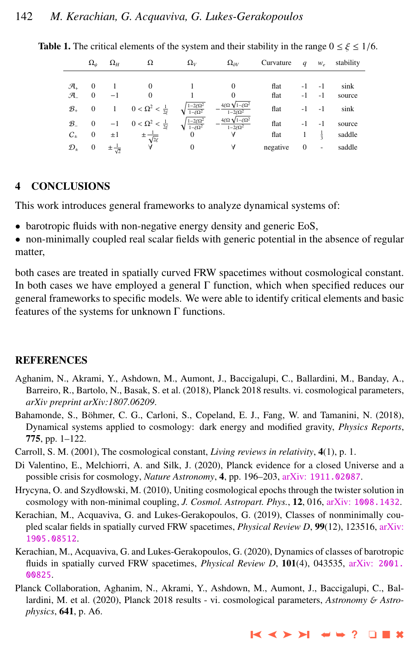|                     | $\Omega_{\psi}$  | $\Omega_H$ | Ω                                    | $\Omega_V$                             | $\Omega_{\partial V}$                                | Curvature | q            | $W_{\rho}$               | stability |
|---------------------|------------------|------------|--------------------------------------|----------------------------------------|------------------------------------------------------|-----------|--------------|--------------------------|-----------|
|                     |                  |            |                                      |                                        |                                                      |           |              |                          |           |
| $\mathcal{A}_+$     | $\theta$         |            | 0                                    |                                        |                                                      | flat      |              | $-1$                     | sink      |
| $\mathcal{A}_{-}$   | $\mathbf{0}$     |            | $\mathbf{0}$                         |                                        |                                                      | flat      | -1           | -1                       | source    |
| $\mathcal{B}_+$     | $\overline{0}$   | -1         | $0 < \Omega^2 < \frac{1}{2\xi}$      | $\frac{1-2\xi\Omega^2}{1-\xi\Omega^2}$ | $4\xi\Omega\sqrt{1-\xi\Omega^2}$<br>$1-2\xi\Omega^2$ | flat      | -1           | $-1$                     | sink      |
| $\mathcal{B}_-$     | $\bf{0}$         | $-1$       | $0 < \Omega^2 < \frac{1}{2\epsilon}$ | $\frac{1-2\xi\Omega^2}{1-\xi\Omega^2}$ | $4\xi\Omega\sqrt{1-\xi\Omega^2}$<br>$1-2\xi\Omega^2$ | flat      | $-1$         | $-1$                     | source    |
| $C_{\pm}$           | $\boldsymbol{0}$ | $\pm 1$    | $\pm \frac{1}{\sqrt{2\xi}}$          | $\Omega$                               | A                                                    | flat      |              | $\frac{1}{2}$            | saddle    |
| $\mathcal{D}_{\pm}$ | $\mathbf{0}$     |            | A                                    | $\mathbf{0}$                           | A                                                    | negative  | $\mathbf{0}$ | $\overline{\phantom{0}}$ | saddle    |

<span id="page-9-0"></span>**Table 1.** The critical elements of the system and their stability in the range  $0 \le \xi \le 1/6$ .

# 4 CONCLUSIONS

This work introduces general frameworks to analyze dynamical systems of:

• barotropic fluids with non-negative energy density and generic EoS,

• non-minimally coupled real scalar fields with generic potential in the absence of regular matter,

both cases are treated in spatially curved FRW spacetimes without cosmological constant. In both cases we have employed a general Γ function, which when specified reduces our general frameworks to specific models. We were able to identify critical elements and basic features of the systems for unknown Γ functions.

# **REFERENCES**

- Aghanim, N., Akrami, Y., Ashdown, M., Aumont, J., Baccigalupi, C., Ballardini, M., Banday, A., Barreiro, R., Bartolo, N., Basak, S. et al. (2018), Planck 2018 results. vi. cosmological parameters, *arXiv preprint arXiv:1807.06209*.
- Bahamonde, S., Böhmer, C. G., Carloni, S., Copeland, E. J., Fang, W. and Tamanini, N. (2018), Dynamical systems applied to cosmology: dark energy and modified gravity, *Physics Reports*, 775, pp. 1–122.
- Carroll, S. M. (2001), The cosmological constant, *Living reviews in relativity*, 4(1), p. 1.
- Di Valentino, E., Melchiorri, A. and Silk, J. (2020), Planck evidence for a closed Universe and a possible crisis for cosmology, *Nature Astronomy*, 4, pp. 196–203, arXiv: [1911.02087](http://www.arxiv.org/abs/1911.02087).
- Hrycyna, O. and Szydłowski, M. (2010), Uniting cosmological epochs through the twister solution in cosmology with non-minimal coupling, *J. Cosmol. Astropart. Phys.*, 12, 016, arXiv: [1008.1432](http://www.arxiv.org/abs/1008.1432).
- Kerachian, M., Acquaviva, G. and Lukes-Gerakopoulos, G. (2019), Classes of nonminimally coupled scalar fields in spatially curved FRW spacetimes, *Physical Review D*, 99(12), 123516, [arXiv:](http://www.arxiv.org/abs/1905.08512) [1905.08512](http://www.arxiv.org/abs/1905.08512).
- Kerachian, M., Acquaviva, G. and Lukes-Gerakopoulos, G. (2020), Dynamics of classes of barotropic fluids in spatially curved FRW spacetimes, *Physical Review D*, 101(4), 043535, arXiv: [2001.](http://www.arxiv.org/abs/2001.00825) [00825](http://www.arxiv.org/abs/2001.00825).
- Planck Collaboration, Aghanim, N., Akrami, Y., Ashdown, M., Aumont, J., Baccigalupi, C., Ballardini, M. et al. (2020), Planck 2018 results - vi. cosmological parameters, *Astronomy* & *Astrophysics*, 641, p. A6.